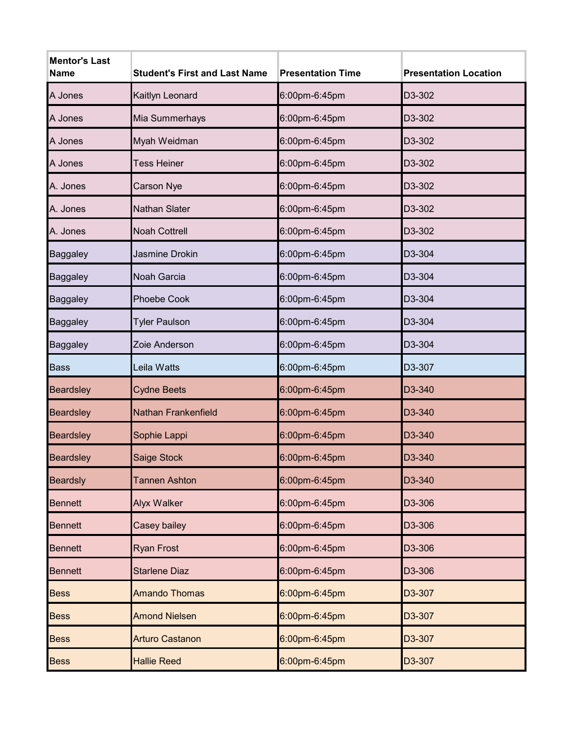| <b>Mentor's Last</b><br><b>Name</b> | <b>Student's First and Last Name</b> | <b>Presentation Time</b> | <b>Presentation Location</b> |
|-------------------------------------|--------------------------------------|--------------------------|------------------------------|
| A Jones                             | Kaitlyn Leonard                      | 6:00pm-6:45pm            | D3-302                       |
| A Jones                             | Mia Summerhays                       | 6:00pm-6:45pm            | D3-302                       |
| A Jones                             | Myah Weidman                         | 6:00pm-6:45pm            | D3-302                       |
| A Jones                             | <b>Tess Heiner</b>                   | 6:00pm-6:45pm            | D3-302                       |
| A. Jones                            | <b>Carson Nye</b>                    | 6:00pm-6:45pm            | D3-302                       |
| A. Jones                            | Nathan Slater                        | 6:00pm-6:45pm            | D3-302                       |
| A. Jones                            | <b>Noah Cottrell</b>                 | 6:00pm-6:45pm            | D3-302                       |
| <b>Baggaley</b>                     | Jasmine Drokin                       | 6:00pm-6:45pm            | D3-304                       |
| Baggaley                            | Noah Garcia                          | 6:00pm-6:45pm            | D3-304                       |
| Baggaley                            | <b>Phoebe Cook</b>                   | 6:00pm-6:45pm            | D3-304                       |
| Baggaley                            | <b>Tyler Paulson</b>                 | 6:00pm-6:45pm            | D3-304                       |
| Baggaley                            | Zoie Anderson                        | 6:00pm-6:45pm            | D3-304                       |
| <b>Bass</b>                         | Leila Watts                          | 6:00pm-6:45pm            | D3-307                       |
| <b>Beardsley</b>                    | <b>Cydne Beets</b>                   | 6:00pm-6:45pm            | D3-340                       |
| <b>Beardsley</b>                    | <b>Nathan Frankenfield</b>           | 6:00pm-6:45pm            | D3-340                       |
| <b>Beardsley</b>                    | Sophie Lappi                         | 6:00pm-6:45pm            | D3-340                       |
| <b>Beardsley</b>                    | Saige Stock                          | 6:00pm-6:45pm            | D3-340                       |
| <b>Beardsly</b>                     | <b>Tannen Ashton</b>                 | 6:00pm-6:45pm            | D3-340                       |
| <b>Bennett</b>                      | <b>Alyx Walker</b>                   | 6:00pm-6:45pm            | D3-306                       |
| <b>Bennett</b>                      | Casey bailey                         | 6:00pm-6:45pm            | D3-306                       |
| <b>Bennett</b>                      | <b>Ryan Frost</b>                    | 6:00pm-6:45pm            | D3-306                       |
| <b>Bennett</b>                      | <b>Starlene Diaz</b>                 | 6:00pm-6:45pm            | D3-306                       |
| <b>Bess</b>                         | <b>Amando Thomas</b>                 | 6:00pm-6:45pm            | D3-307                       |
| <b>Bess</b>                         | <b>Amond Nielsen</b>                 | 6:00pm-6:45pm            | D3-307                       |
| <b>Bess</b>                         | <b>Arturo Castanon</b>               | 6:00pm-6:45pm            | D3-307                       |
| <b>Bess</b>                         | <b>Hallie Reed</b>                   | 6:00pm-6:45pm            | D3-307                       |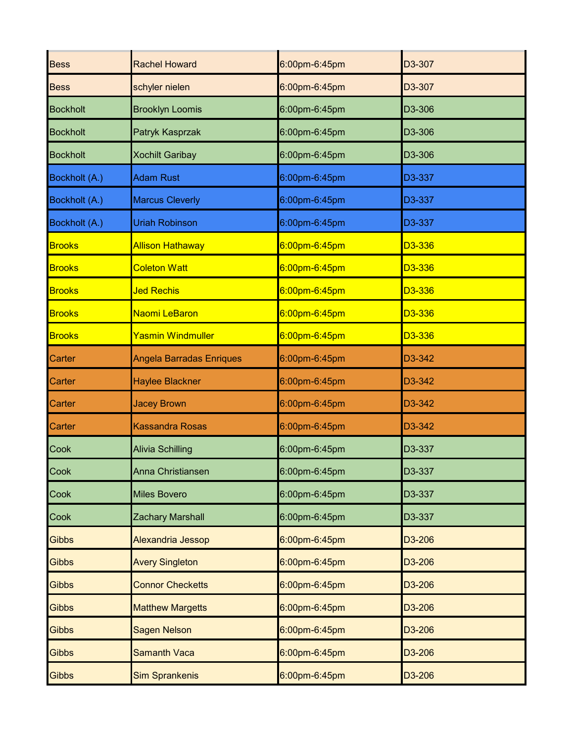| <b>Bess</b>     | <b>Rachel Howard</b>     | 6:00pm-6:45pm | D3-307 |
|-----------------|--------------------------|---------------|--------|
| <b>Bess</b>     | schyler nielen           | 6:00pm-6:45pm | D3-307 |
| <b>Bockholt</b> | <b>Brooklyn Loomis</b>   | 6:00pm-6:45pm | D3-306 |
| <b>Bockholt</b> | Patryk Kasprzak          | 6:00pm-6:45pm | D3-306 |
| <b>Bockholt</b> | <b>Xochilt Garibay</b>   | 6:00pm-6:45pm | D3-306 |
| Bockholt (A.)   | <b>Adam Rust</b>         | 6:00pm-6:45pm | D3-337 |
| Bockholt (A.)   | <b>Marcus Cleverly</b>   | 6:00pm-6:45pm | D3-337 |
| Bockholt (A.)   | <b>Uriah Robinson</b>    | 6:00pm-6:45pm | D3-337 |
| <b>Brooks</b>   | <b>Allison Hathaway</b>  | 6:00pm-6:45pm | D3-336 |
| <b>Brooks</b>   | <b>Coleton Watt</b>      | 6:00pm-6:45pm | D3-336 |
| <b>Brooks</b>   | <b>Jed Rechis</b>        | 6:00pm-6:45pm | D3-336 |
| <b>Brooks</b>   | Naomi LeBaron            | 6:00pm-6:45pm | D3-336 |
| <b>Brooks</b>   | <b>Yasmin Windmuller</b> | 6:00pm-6:45pm | D3-336 |
| <b>Carter</b>   | Angela Barradas Enriques | 6:00pm-6:45pm | D3-342 |
| <b>Carter</b>   | <b>Haylee Blackner</b>   | 6:00pm-6:45pm | D3-342 |
| <b>Carter</b>   | <b>Jacey Brown</b>       | 6:00pm-6:45pm | D3-342 |
| <b>Carter</b>   | <b>Kassandra Rosas</b>   | 6:00pm-6:45pm | D3-342 |
| Cook            | <b>Alivia Schilling</b>  | 6:00pm-6:45pm | D3-337 |
| Cook            | Anna Christiansen        | 6:00pm-6:45pm | D3-337 |
| <b>Cook</b>     | <b>Miles Bovero</b>      | 6:00pm-6:45pm | D3-337 |
| <b>Cook</b>     | <b>Zachary Marshall</b>  | 6:00pm-6:45pm | D3-337 |
| <b>Gibbs</b>    | <b>Alexandria Jessop</b> | 6:00pm-6:45pm | D3-206 |
| <b>Gibbs</b>    | <b>Avery Singleton</b>   | 6:00pm-6:45pm | D3-206 |
| <b>Gibbs</b>    | <b>Connor Checketts</b>  | 6:00pm-6:45pm | D3-206 |
| <b>Gibbs</b>    | <b>Matthew Margetts</b>  | 6:00pm-6:45pm | D3-206 |
| <b>Gibbs</b>    | <b>Sagen Nelson</b>      | 6:00pm-6:45pm | D3-206 |
| <b>Gibbs</b>    | <b>Samanth Vaca</b>      | 6:00pm-6:45pm | D3-206 |
| <b>Gibbs</b>    | <b>Sim Sprankenis</b>    | 6:00pm-6:45pm | D3-206 |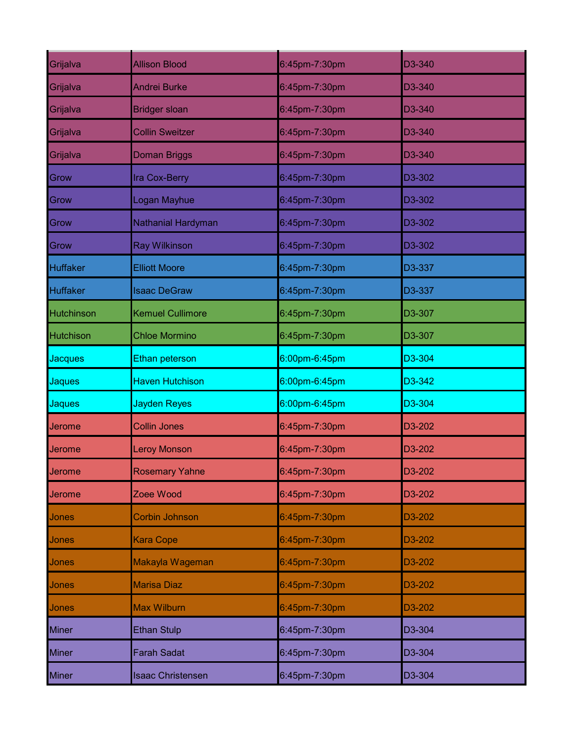| Grijalva         | <b>Allison Blood</b>     | 6:45pm-7:30pm | D3-340 |
|------------------|--------------------------|---------------|--------|
| Grijalva         | <b>Andrei Burke</b>      | 6:45pm-7:30pm | D3-340 |
| Grijalva         | <b>Bridger sloan</b>     | 6:45pm-7:30pm | D3-340 |
| Grijalva         | <b>Collin Sweitzer</b>   | 6:45pm-7:30pm | D3-340 |
| Grijalva         | <b>Doman Briggs</b>      | 6:45pm-7:30pm | D3-340 |
| Grow             | Ira Cox-Berry            | 6:45pm-7:30pm | D3-302 |
| Grow             | Logan Mayhue             | 6:45pm-7:30pm | D3-302 |
| Grow             | Nathanial Hardyman       | 6:45pm-7:30pm | D3-302 |
| Grow             | <b>Ray Wilkinson</b>     | 6:45pm-7:30pm | D3-302 |
| <b>Huffaker</b>  | <b>Elliott Moore</b>     | 6:45pm-7:30pm | D3-337 |
| <b>Huffaker</b>  | <b>Isaac DeGraw</b>      | 6:45pm-7:30pm | D3-337 |
| Hutchinson       | <b>Kemuel Cullimore</b>  | 6:45pm-7:30pm | D3-307 |
| <b>Hutchison</b> | <b>Chloe Mormino</b>     | 6:45pm-7:30pm | D3-307 |
| <b>Jacques</b>   | Ethan peterson           | 6:00pm-6:45pm | D3-304 |
| <b>Jaques</b>    | <b>Haven Hutchison</b>   | 6:00pm-6:45pm | D3-342 |
| <b>Jaques</b>    | <b>Jayden Reyes</b>      | 6:00pm-6:45pm | D3-304 |
| Jerome           | <b>Collin Jones</b>      | 6:45pm-7:30pm | D3-202 |
| Jerome           | <b>Leroy Monson</b>      | 6:45pm-7:30pm | D3-202 |
| <b>Jerome</b>    | <b>Rosemary Yahne</b>    | 6:45pm-7:30pm | D3-202 |
| <b>Jerome</b>    | Zoee Wood                | 6:45pm-7:30pm | D3-202 |
| <b>Jones</b>     | <b>Corbin Johnson</b>    | 6:45pm-7:30pm | D3-202 |
| <b>Jones</b>     | <b>Kara Cope</b>         | 6:45pm-7:30pm | D3-202 |
| Jones            | Makayla Wageman          | 6:45pm-7:30pm | D3-202 |
| <b>Jones</b>     | <b>Marisa Diaz</b>       | 6:45pm-7:30pm | D3-202 |
| Jones            | <b>Max Wilburn</b>       | 6:45pm-7:30pm | D3-202 |
| <b>Miner</b>     | <b>Ethan Stulp</b>       | 6:45pm-7:30pm | D3-304 |
| <b>Miner</b>     | <b>Farah Sadat</b>       | 6:45pm-7:30pm | D3-304 |
| <b>Miner</b>     | <b>Isaac Christensen</b> | 6:45pm-7:30pm | D3-304 |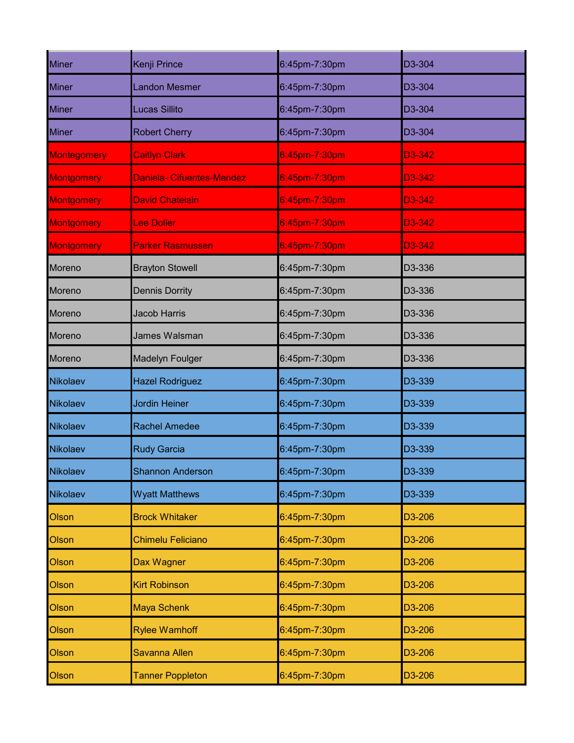| <b>Miner</b>      | Kenji Prince              | 6:45pm-7:30pm | D3-304 |
|-------------------|---------------------------|---------------|--------|
| <b>Miner</b>      | <b>Landon Mesmer</b>      | 6:45pm-7:30pm | D3-304 |
| <b>Miner</b>      | <b>Lucas Sillito</b>      | 6:45pm-7:30pm | D3-304 |
| <b>Miner</b>      | <b>Robert Cherry</b>      | 6:45pm-7:30pm | D3-304 |
| Montegomery       | <b>Caitlyn Clark</b>      | 6:45pm-7:30pm | D3-342 |
| <b>Montgomery</b> | Daniela- Cifuentes-Mendez | 6:45pm-7:30pm | D3-342 |
| <b>Montgomery</b> | <b>David Chatelain</b>    | 6:45pm-7:30pm | D3-342 |
| <b>Montgomery</b> | <b>Lee Doller</b>         | 6:45pm-7:30pm | D3-342 |
| <b>Montgomery</b> | <b>Parker Rasmussen</b>   | 6:45pm-7:30pm | D3-342 |
| Moreno            | <b>Brayton Stowell</b>    | 6:45pm-7:30pm | D3-336 |
| Moreno            | <b>Dennis Dorrity</b>     | 6:45pm-7:30pm | D3-336 |
| Moreno            | <b>Jacob Harris</b>       | 6:45pm-7:30pm | D3-336 |
| Moreno            | James Walsman             | 6:45pm-7:30pm | D3-336 |
| Moreno            | <b>Madelyn Foulger</b>    | 6:45pm-7:30pm | D3-336 |
| Nikolaev          | <b>Hazel Rodriguez</b>    | 6:45pm-7:30pm | D3-339 |
| Nikolaev          | <b>Jordin Heiner</b>      | 6:45pm-7:30pm | D3-339 |
| Nikolaev          | <b>Rachel Amedee</b>      | 6:45pm-7:30pm | D3-339 |
| Nikolaev          | <b>Rudy Garcia</b>        | 6:45pm-7:30pm | D3-339 |
| Nikolaev          | <b>Shannon Anderson</b>   | 6:45pm-7:30pm | D3-339 |
| Nikolaev          | <b>Wyatt Matthews</b>     | 6:45pm-7:30pm | D3-339 |
| <b>Olson</b>      | <b>Brock Whitaker</b>     | 6:45pm-7:30pm | D3-206 |
| Olson             | <b>Chimelu Feliciano</b>  | 6:45pm-7:30pm | D3-206 |
| Olson             | Dax Wagner                | 6:45pm-7:30pm | D3-206 |
| Olson             | <b>Kirt Robinson</b>      | 6:45pm-7:30pm | D3-206 |
| Olson             | <b>Maya Schenk</b>        | 6:45pm-7:30pm | D3-206 |
| Olson             | <b>Rylee Wamhoff</b>      | 6:45pm-7:30pm | D3-206 |
| Olson             | Savanna Allen             | 6:45pm-7:30pm | D3-206 |
| Olson             | <b>Tanner Poppleton</b>   | 6:45pm-7:30pm | D3-206 |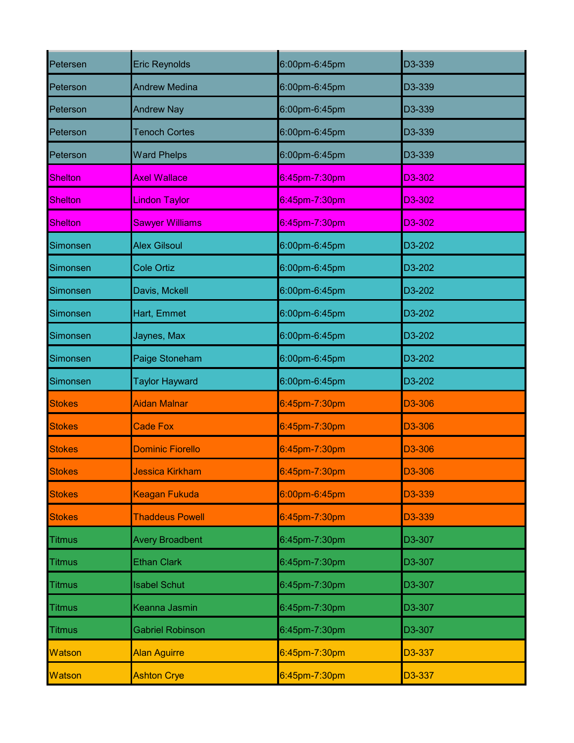| Petersen       | <b>Eric Reynolds</b>    | 6:00pm-6:45pm    | D3-339 |
|----------------|-------------------------|------------------|--------|
| Peterson       | <b>Andrew Medina</b>    | 6:00pm-6:45pm    | D3-339 |
| Peterson       | <b>Andrew Nay</b>       | 6:00pm-6:45pm    | D3-339 |
| Peterson       | <b>Tenoch Cortes</b>    | 6:00pm-6:45pm    | D3-339 |
| Peterson       | <b>Ward Phelps</b>      | 6:00pm-6:45pm    | D3-339 |
| <b>Shelton</b> | <b>Axel Wallace</b>     | 6:45pm-7:30pm    | D3-302 |
| <b>Shelton</b> | <b>Lindon Taylor</b>    | $6:45$ pm-7:30pm | D3-302 |
| <b>Shelton</b> | <b>Sawyer Williams</b>  | $6:45$ pm-7:30pm | D3-302 |
| Simonsen       | <b>Alex Gilsoul</b>     | 6:00pm-6:45pm    | D3-202 |
| Simonsen       | <b>Cole Ortiz</b>       | 6:00pm-6:45pm    | D3-202 |
| Simonsen       | Davis, Mckell           | 6:00pm-6:45pm    | D3-202 |
| Simonsen       | Hart, Emmet             | 6:00pm-6:45pm    | D3-202 |
| Simonsen       | Jaynes, Max             | 6:00pm-6:45pm    | D3-202 |
| Simonsen       | Paige Stoneham          | 6:00pm-6:45pm    | D3-202 |
|                |                         |                  |        |
| Simonsen       | <b>Taylor Hayward</b>   | 6:00pm-6:45pm    | D3-202 |
| <b>Stokes</b>  | <b>Aidan Malnar</b>     | 6:45pm-7:30pm    | D3-306 |
| <b>Stokes</b>  | <b>Cade Fox</b>         | 6:45pm-7:30pm    | D3-306 |
| <b>Stokes</b>  | <b>Dominic Fiorello</b> | 6:45pm-7:30pm    | D3-306 |
| <b>Stokes</b>  | <b>Jessica Kirkham</b>  | 6:45pm-7:30pm    | D3-306 |
| <b>Stokes</b>  | Keagan Fukuda           | 6:00pm-6:45pm    | D3-339 |
| <b>Stokes</b>  | <b>Thaddeus Powell</b>  | 6:45pm-7:30pm    | D3-339 |
| <b>Titmus</b>  | <b>Avery Broadbent</b>  | 6:45pm-7:30pm    | D3-307 |
| <b>Titmus</b>  | <b>Ethan Clark</b>      | 6:45pm-7:30pm    | D3-307 |
| <b>Titmus</b>  | <b>Isabel Schut</b>     | 6:45pm-7:30pm    | D3-307 |
| <b>Titmus</b>  | Keanna Jasmin           | 6:45pm-7:30pm    | D3-307 |
| <b>Titmus</b>  | <b>Gabriel Robinson</b> | 6:45pm-7:30pm    | D3-307 |
| <b>Watson</b>  | <b>Alan Aguirre</b>     | 6:45pm-7:30pm    | D3-337 |